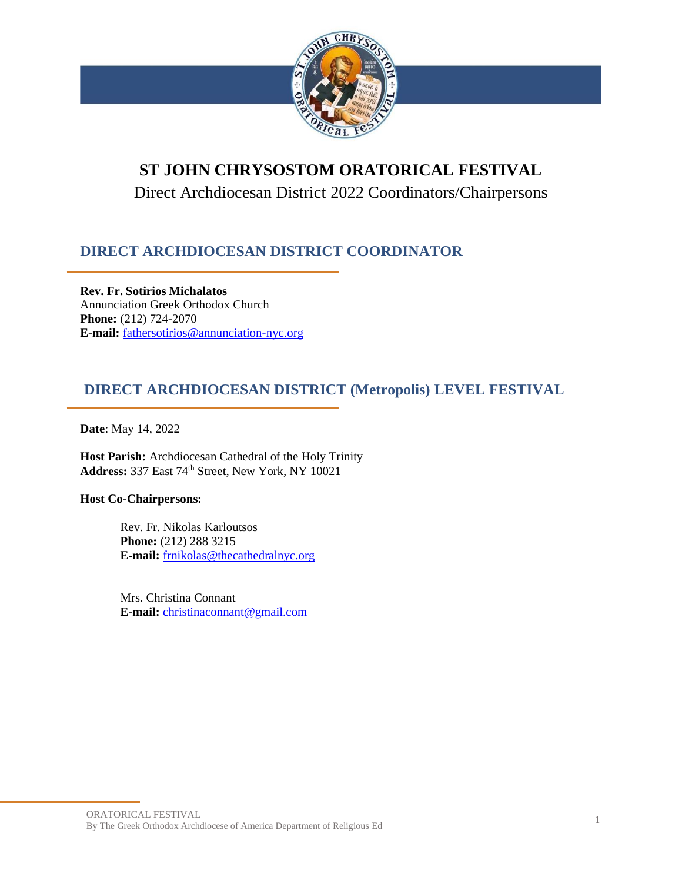

# **ST JOHN CHRYSOSTOM ORATORICAL FESTIVAL**

Direct Archdiocesan District 2022 Coordinators/Chairpersons

# **DIRECT ARCHDIOCESAN DISTRICT COORDINATOR**

**Rev. Fr. Sotirios Michalatos** Annunciation Greek Orthodox Church **Phone:** (212) 724-2070 **E-mail:** [fathersotirios@annunciation-nyc.org](mailto:fathersotirios@annunciation-nyc.org)

## **DIRECT ARCHDIOCESAN DISTRICT (Metropolis) LEVEL FESTIVAL**

**Date**: May 14, 2022

**Host Parish:** Archdiocesan Cathedral of the Holy Trinity Address: 337 East 74<sup>th</sup> Street, New York, NY 10021

## **Host Co-Chairpersons:**

Rev. Fr. Nikolas Karloutsos **Phone:** (212) 288 3215 **E-mail:** [frnikolas@thecathedralnyc.org](mailto:frnikolas@thecathedralnyc.org)

Mrs. Christina Connant **E-mail:** [christinaconnant@gmail.com](mailto:christinaconnant@gmail.com)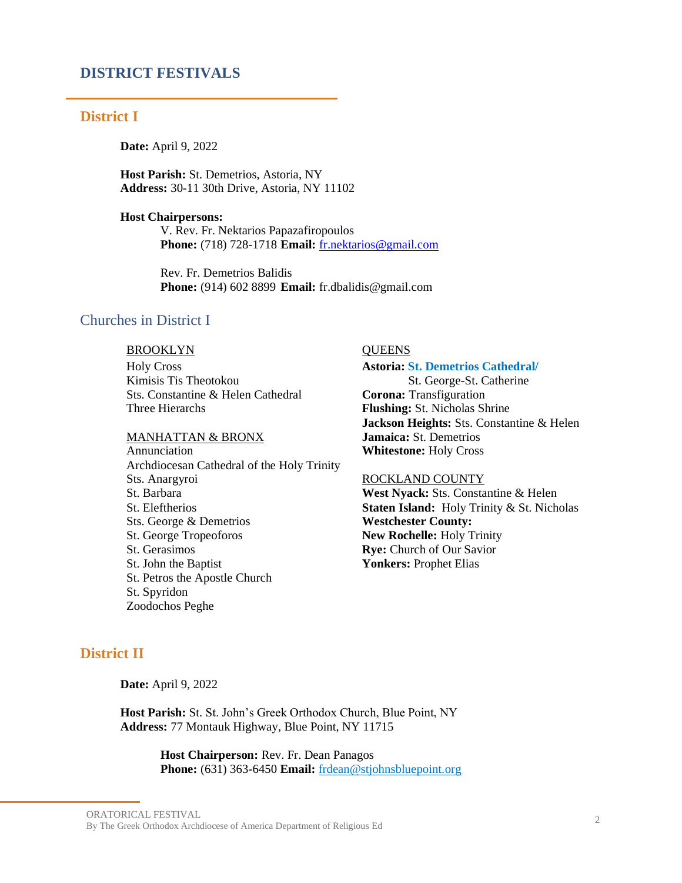### **DISTRICT FESTIVALS**

#### **District I**

**Date:** April 9, 2022

**Host Parish:** St. Demetrios, Astoria, NY **Address:** 30-11 30th Drive, Astoria, NY 11102

#### **Host Chairpersons:**

V. Rev. Fr. Nektarios Papazafiropoulos **Phone:** (718) 728-1718 **Email:** [fr.nektarios@gmail.com](mailto:fr.nektarios@gmail.com)

Rev. Fr. Demetrios Balidis **Phone:** (914) 602 8899 **Email:** fr.dbalidis@gmail.com

## Churches in District I

## BROOKLYN QUEENS

Holy Cross Kimisis Tis Theotokou Sts. Constantine & Helen Cathedral Three Hierarchs

#### MANHATTAN & BRONX

Annunciation Archdiocesan Cathedral of the Holy Trinity Sts. Anargyroi St. Barbara St. Eleftherios Sts. George & Demetrios St. George Tropeoforos St. Gerasimos St. John the Baptist St. Petros the Apostle Church St. Spyridon Zoodochos Peghe

#### **Astoria: St. Demetrios Cathedral/**

 St. George-St. Catherine **Corona:** Transfiguration **Flushing:** St. Nicholas Shrine **Jackson Heights:** Sts. Constantine & Helen **Jamaica:** St. Demetrios **Whitestone:** Holy Cross

#### ROCKLAND COUNTY

**West Nyack:** Sts. Constantine & Helen **Staten Island:** Holy Trinity & St. Nicholas **Westchester County: New Rochelle:** Holy Trinity **Rye:** Church of Our Savior **Yonkers:** Prophet Elias

## **District II**

**Date:** April 9, 2022

**Host Parish:** St. St. John's Greek Orthodox Church, Blue Point, NY **Address:** 77 Montauk Highway, Blue Point, NY 11715

> **Host Chairperson:** Rev. Fr. Dean Panagos **Phone:** (631) 363-6450 **Email:** [frdean@stjohnsbluepoint.org](mailto:frdean@stjohnsbluepoint.org?Subject=St%20Johns)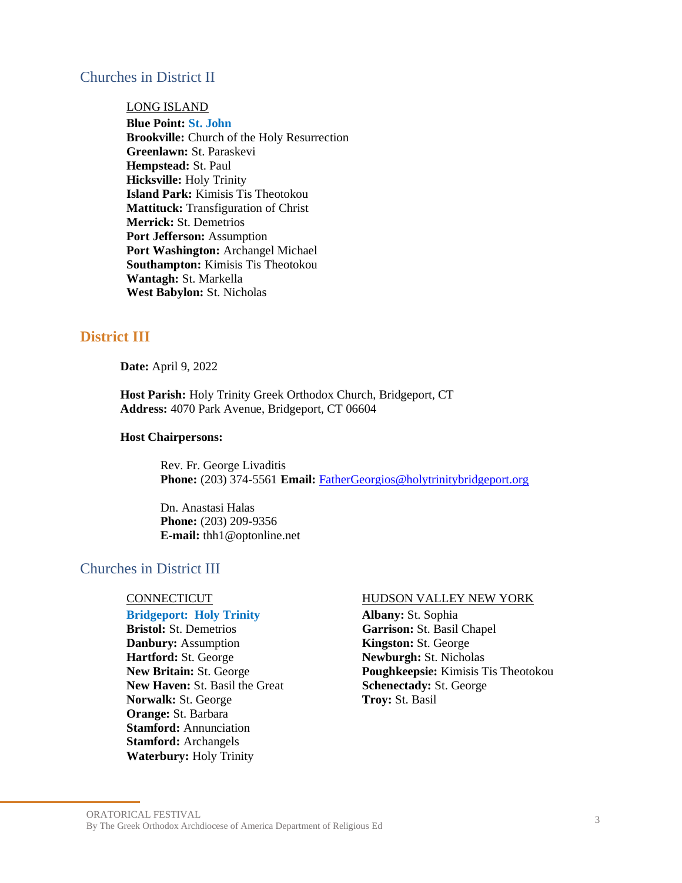## Churches in District II

## LONG ISLAND

**Blue Point: St. John Brookville:** Church of the Holy Resurrection **Greenlawn:** St. Paraskevi **Hempstead:** St. Paul **Hicksville:** Holy Trinity **Island Park:** Kimisis Tis Theotokou **Mattituck:** Transfiguration of Christ **Merrick:** St. Demetrios **Port Jefferson:** Assumption **Port Washington:** Archangel Michael **Southampton:** Kimisis Tis Theotokou **Wantagh:** St. Markella **West Babylon:** St. Nicholas

## **District III**

**Date:** April 9, 2022

**Host Parish:** Holy Trinity Greek Orthodox Church, Bridgeport, CT **Address:** 4070 Park Avenue, Bridgeport, CT 06604

#### **Host Chairpersons:**

Rev. Fr. George Livaditis **Phone:** (203) 374-5561 **Email:** [FatherGeorgios@holytrinitybridgeport.org](mailto:FatherGeorgios@holytrinitybridgeport.org)

Dn. Anastasi Halas **Phone:** (203) 209-9356 **E-mail:** thh1@optonline.net

## Churches in District III

#### **Bridgeport: Holy Trinity**

**Bristol:** St. Demetrios **Danbury:** Assumption **Hartford:** St. George **New Britain:** St. George **New Haven:** St. Basil the Great **Norwalk:** St. George **Orange:** St. Barbara **Stamford:** Annunciation **Stamford:** Archangels **Waterbury:** Holy Trinity

#### CONNECTICUT HUDSON VALLEY NEW YORK

**Albany:** St. Sophia **Garrison:** St. Basil Chapel **Kingston:** St. George **Newburgh:** St. Nicholas **Poughkeepsie:** Kimisis Tis Theotokou **Schenectady:** St. George **Troy:** St. Basil